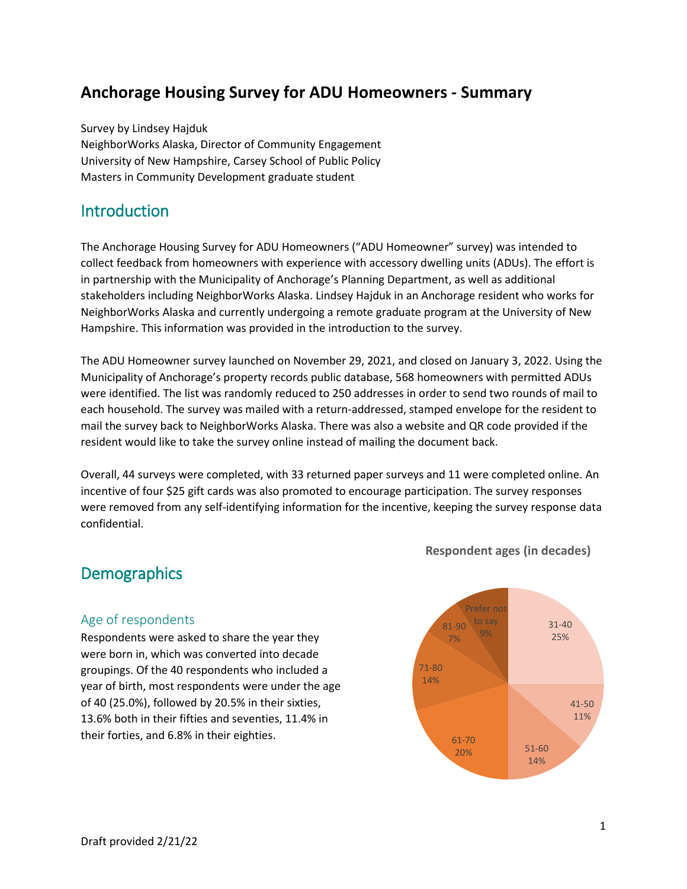# **Anchorage Housing Survey for ADU Homeowners - Summary**

Survey by Lindsey Hajduk NeighborWorks Alaska, Director of Community Engagement University of New Hampshire, Carsey School of Public Policy Masters in Community Development graduate student

## Introduction

The Anchorage Housing Survey for ADU Homeowners ("ADU Homeowner" survey) was intended to collect feedback from homeowners with experience with accessory dwelling units (ADUs). The effort is in partnership with the Municipality of Anchorage's Planning Department, as well as additional stakeholders including NeighborWorks Alaska. Lindsey Hajduk in an Anchorage resident who works for NeighborWorks Alaska and currently undergoing a remote graduate program at the University of New Hampshire. This information was provided in the introduction to the survey.

The ADU Homeowner survey launched on November 29, 2021, and closed on January 3, 2022. Using the Municipality of Anchorage's property records public database, 568 homeowners with permitted ADUs were identified. The list was randomly reduced to 250 addresses in order to send two rounds of mail to each household. The survey was mailed with a return-addressed, stamped envelope for the resident to mail the survey back to NeighborWorks Alaska. There was also a website and QR code provided if the resident would like to take the survey online instead of mailing the document back.

Overall, 44 surveys were completed, with 33 returned paper surveys and 11 were completed online. An incentive of four \$25 gift cards was also promoted to encourage participation. The survey responses were removed from any self-identifying information for the incentive, keeping the survey response data confidential.

## **Demographics**

#### Age of respondents

Respondents were asked to share the year they were born in, which was converted into decade groupings. Of the 40 respondents who included a year of birth, most respondents were under the age of 40 (25.0%), followed by 20.5% in their sixties, 13.6% both in their fifties and seventies, 11.4% in their forties, and 6.8% in their eighties.



**Respondent ages (in decades)**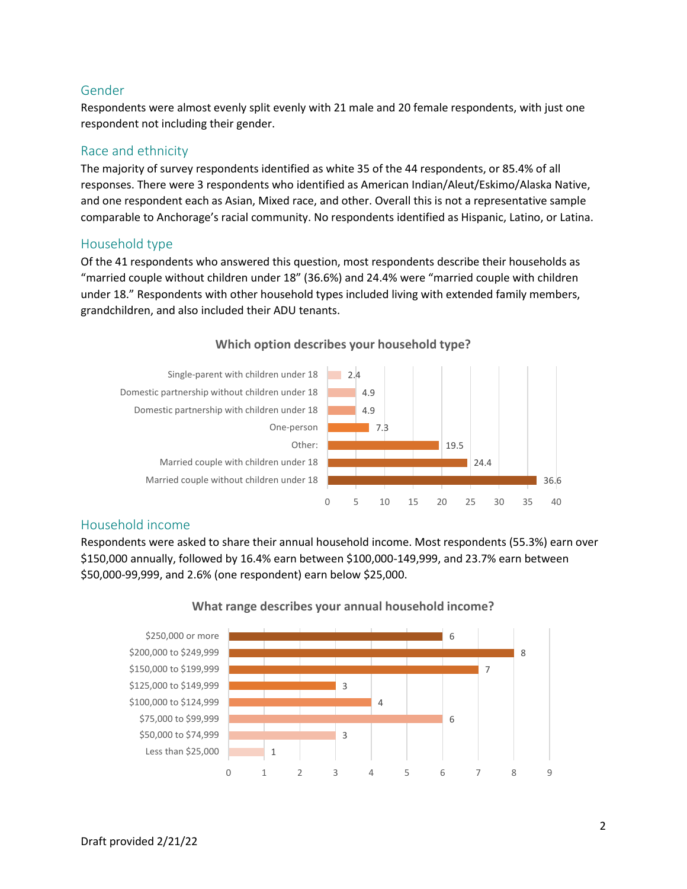#### Gender

Respondents were almost evenly split evenly with 21 male and 20 female respondents, with just one respondent not including their gender.

## Race and ethnicity

The majority of survey respondents identified as white 35 of the 44 respondents, or 85.4% of all responses. There were 3 respondents who identified as American Indian/Aleut/Eskimo/Alaska Native, and one respondent each as Asian, Mixed race, and other. Overall this is not a representative sample comparable to Anchorage's racial community. No respondents identified as Hispanic, Latino, or Latina.

#### Household type

Of the 41 respondents who answered this question, most respondents describe their households as "married couple without children under 18" (36.6%) and 24.4% were "married couple with children under 18." Respondents with other household types included living with extended family members, grandchildren, and also included their ADU tenants.



#### **Which option describes your household type?**

#### Household income

Respondents were asked to share their annual household income. Most respondents (55.3%) earn over \$150,000 annually, followed by 16.4% earn between \$100,000-149,999, and 23.7% earn between \$50,000-99,999, and 2.6% (one respondent) earn below \$25,000.



#### **What range describes your annual household income?**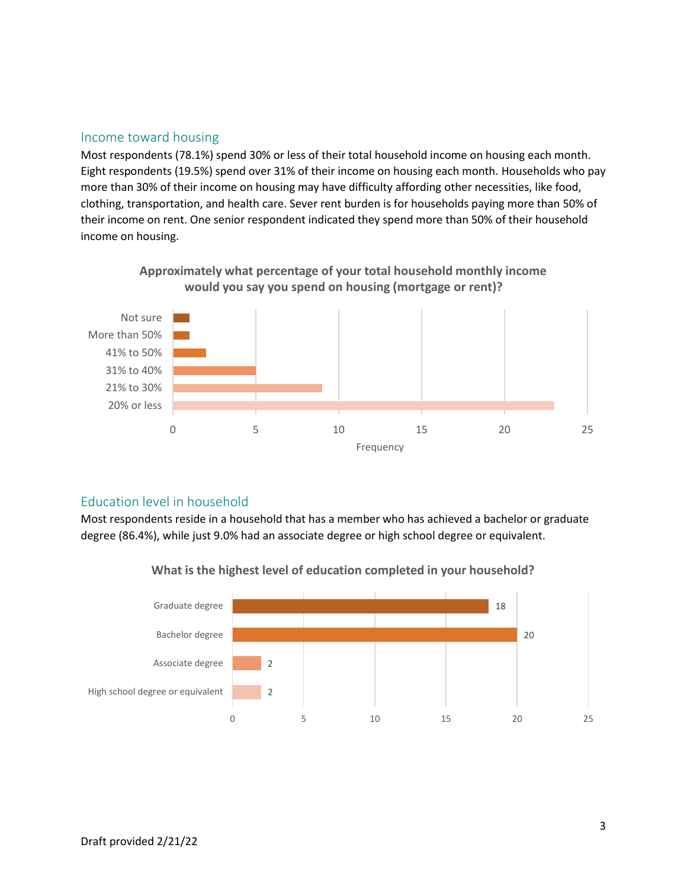#### Income toward housing

Most respondents (78.1%) spend 30% or less of their total household income on housing each month. Eight respondents (19.5%) spend over 31% of their income on housing each month. Households who pay more than 30% of their income on housing may have difficulty affording other necessities, like food, clothing, transportation, and health care. Sever rent burden is for households paying more than 50% of their income on rent. One senior respondent indicated they spend more than 50% of their household income on housing.



## **Approximately what percentage of your total household monthly income would you say you spend on housing (mortgage or rent)?**

#### Education level in household

Most respondents reside in a household that has a member who has achieved a bachelor or graduate degree (86.4%), while just 9.0% had an associate degree or high school degree or equivalent.



**What is the highest level of education completed in your household?**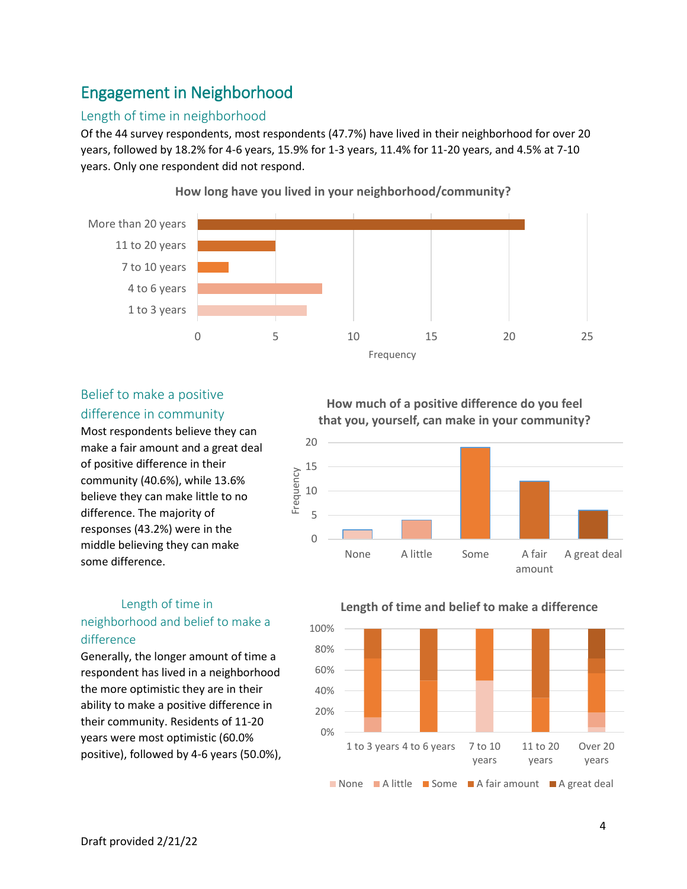# Engagement in Neighborhood

### Length of time in neighborhood

Of the 44 survey respondents, most respondents (47.7%) have lived in their neighborhood for over 20 years, followed by 18.2% for 4-6 years, 15.9% for 1-3 years, 11.4% for 11-20 years, and 4.5% at 7-10 years. Only one respondent did not respond.



**How long have you lived in your neighborhood/community?**

## Belief to make a positive difference in community

Most respondents believe they can make a fair amount and a great deal of positive difference in their community (40.6%), while 13.6% believe they can make little to no difference. The majority of responses (43.2%) were in the middle believing they can make some difference.

## Length of time in neighborhood and belief to make a difference

Generally, the longer amount of time a respondent has lived in a neighborhood the more optimistic they are in their ability to make a positive difference in their community. Residents of 11-20 years were most optimistic (60.0% positive), followed by 4-6 years (50.0%),

**How much of a positive difference do you feel that you, yourself, can make in your community?**





**Length of time and belief to make a difference**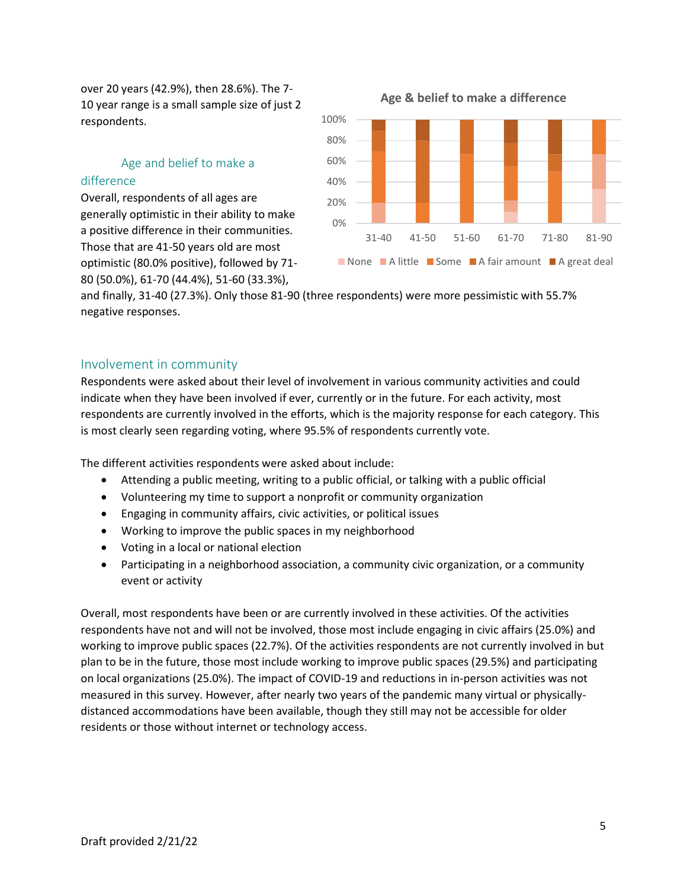over 20 years (42.9%), then 28.6%). The 7- 10 year range is a small sample size of just 2 respondents.

#### Age and belief to make a difference

Overall, respondents of all ages are generally optimistic in their ability to make a positive difference in their communities. Those that are 41-50 years old are most optimistic (80.0% positive), followed by 71- 80 (50.0%), 61-70 (44.4%), 51-60 (33.3%),



and finally, 31-40 (27.3%). Only those 81-90 (three respondents) were more pessimistic with 55.7% negative responses.

#### Involvement in community

Respondents were asked about their level of involvement in various community activities and could indicate when they have been involved if ever, currently or in the future. For each activity, most respondents are currently involved in the efforts, which is the majority response for each category. This is most clearly seen regarding voting, where 95.5% of respondents currently vote.

The different activities respondents were asked about include:

- Attending a public meeting, writing to a public official, or talking with a public official
- Volunteering my time to support a nonprofit or community organization
- Engaging in community affairs, civic activities, or political issues
- Working to improve the public spaces in my neighborhood
- Voting in a local or national election
- Participating in a neighborhood association, a community civic organization, or a community event or activity

Overall, most respondents have been or are currently involved in these activities. Of the activities respondents have not and will not be involved, those most include engaging in civic affairs (25.0%) and working to improve public spaces (22.7%). Of the activities respondents are not currently involved in but plan to be in the future, those most include working to improve public spaces (29.5%) and participating on local organizations (25.0%). The impact of COVID-19 and reductions in in-person activities was not measured in this survey. However, after nearly two years of the pandemic many virtual or physicallydistanced accommodations have been available, though they still may not be accessible for older residents or those without internet or technology access.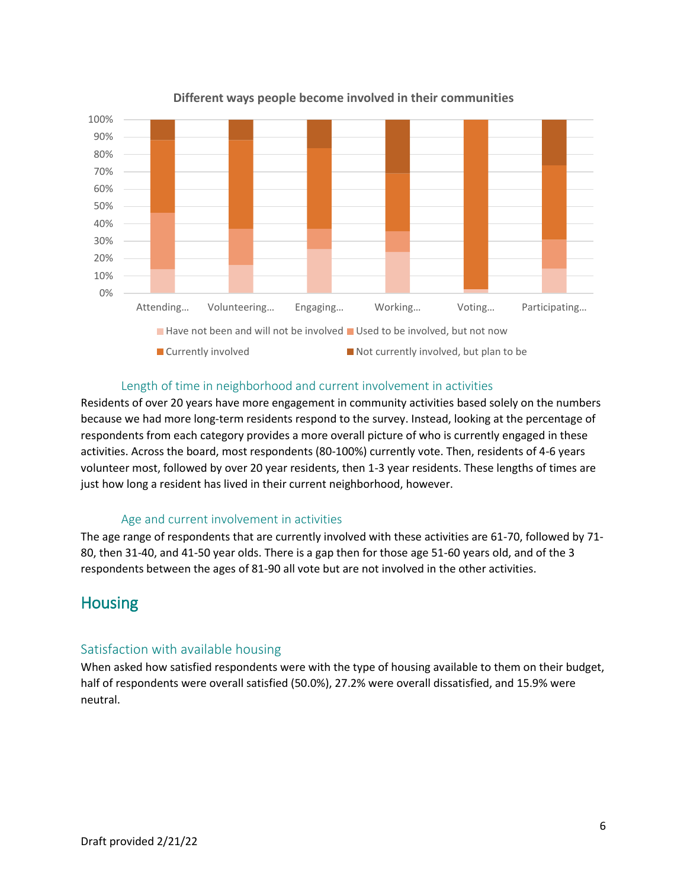

**Different ways people become involved in their communities**

#### Length of time in neighborhood and current involvement in activities

Residents of over 20 years have more engagement in community activities based solely on the numbers because we had more long-term residents respond to the survey. Instead, looking at the percentage of respondents from each category provides a more overall picture of who is currently engaged in these activities. Across the board, most respondents (80-100%) currently vote. Then, residents of 4-6 years volunteer most, followed by over 20 year residents, then 1-3 year residents. These lengths of times are just how long a resident has lived in their current neighborhood, however.

#### Age and current involvement in activities

The age range of respondents that are currently involved with these activities are 61-70, followed by 71- 80, then 31-40, and 41-50 year olds. There is a gap then for those age 51-60 years old, and of the 3 respondents between the ages of 81-90 all vote but are not involved in the other activities.

## Housing

#### Satisfaction with available housing

When asked how satisfied respondents were with the type of housing available to them on their budget, half of respondents were overall satisfied (50.0%), 27.2% were overall dissatisfied, and 15.9% were neutral.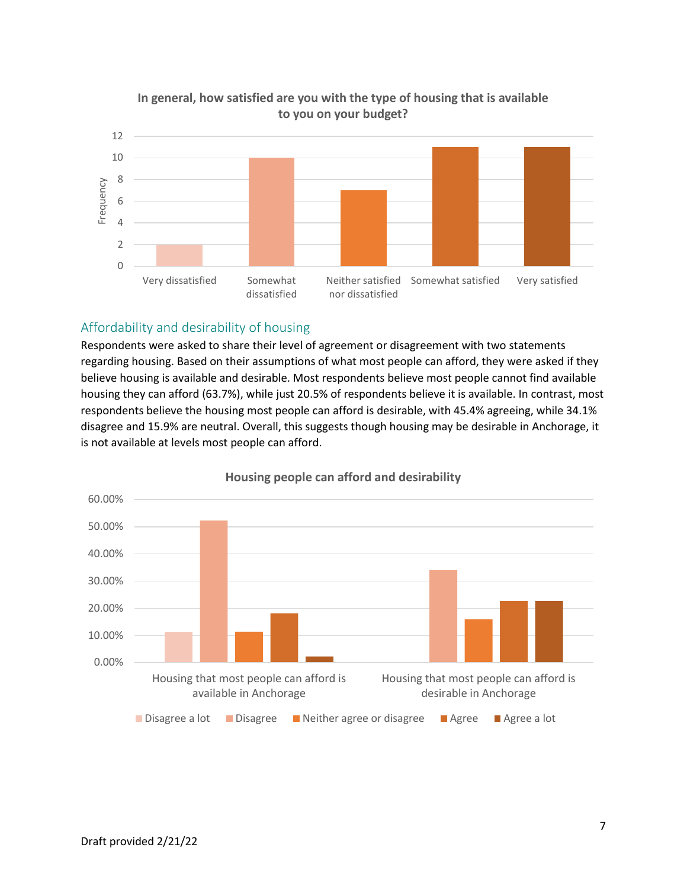

## **In general, how satisfied are you with the type of housing that is available to you on your budget?**

## Affordability and desirability of housing

Respondents were asked to share their level of agreement or disagreement with two statements regarding housing. Based on their assumptions of what most people can afford, they were asked if they believe housing is available and desirable. Most respondents believe most people cannot find available housing they can afford (63.7%), while just 20.5% of respondents believe it is available. In contrast, most respondents believe the housing most people can afford is desirable, with 45.4% agreeing, while 34.1% disagree and 15.9% are neutral. Overall, this suggests though housing may be desirable in Anchorage, it is not available at levels most people can afford.



#### **Housing people can afford and desirability**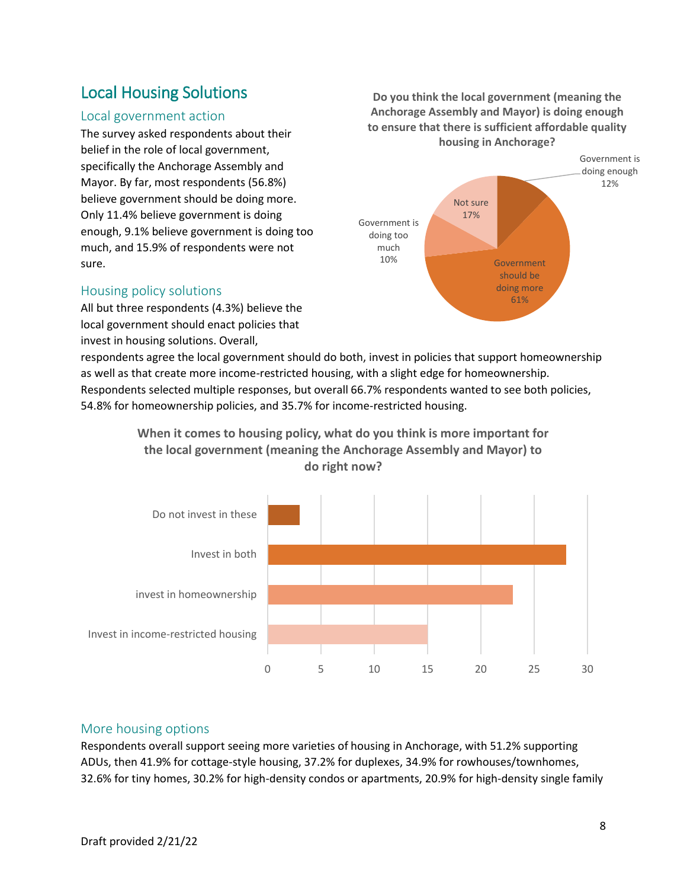# Local Housing Solutions

## Local government action

The survey asked respondents about their belief in the role of local government, specifically the Anchorage Assembly and Mayor. By far, most respondents (56.8%) believe government should be doing more. Only 11.4% believe government is doing enough, 9.1% believe government is doing too much, and 15.9% of respondents were not sure.

#### Housing policy solutions

All but three respondents (4.3%) believe the local government should enact policies that invest in housing solutions. Overall,

**Do you think the local government (meaning the Anchorage Assembly and Mayor) is doing enough to ensure that there is sufficient affordable quality housing in Anchorage?**



respondents agree the local government should do both, invest in policies that support homeownership as well as that create more income-restricted housing, with a slight edge for homeownership. Respondents selected multiple responses, but overall 66.7% respondents wanted to see both policies, 54.8% for homeownership policies, and 35.7% for income-restricted housing.

> **When it comes to housing policy, what do you think is more important for the local government (meaning the Anchorage Assembly and Mayor) to do right now?**



#### More housing options

Respondents overall support seeing more varieties of housing in Anchorage, with 51.2% supporting ADUs, then 41.9% for cottage-style housing, 37.2% for duplexes, 34.9% for rowhouses/townhomes, 32.6% for tiny homes, 30.2% for high-density condos or apartments, 20.9% for high-density single family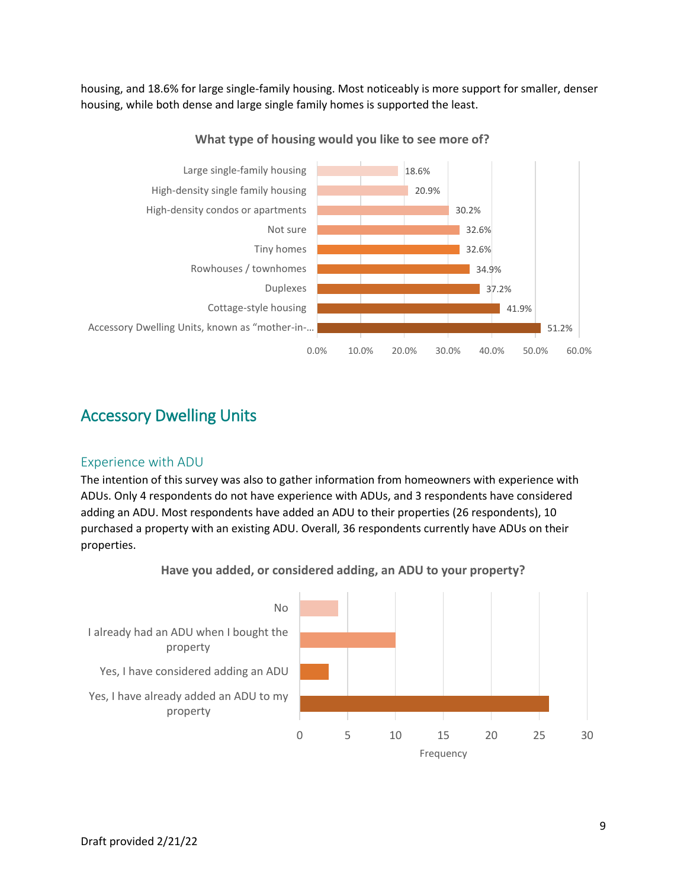housing, and 18.6% for large single-family housing. Most noticeably is more support for smaller, denser housing, while both dense and large single family homes is supported the least.



**What type of housing would you like to see more of?**

# Accessory Dwelling Units

## Experience with ADU

The intention of this survey was also to gather information from homeowners with experience with ADUs. Only 4 respondents do not have experience with ADUs, and 3 respondents have considered adding an ADU. Most respondents have added an ADU to their properties (26 respondents), 10 purchased a property with an existing ADU. Overall, 36 respondents currently have ADUs on their properties.



**Have you added, or considered adding, an ADU to your property?**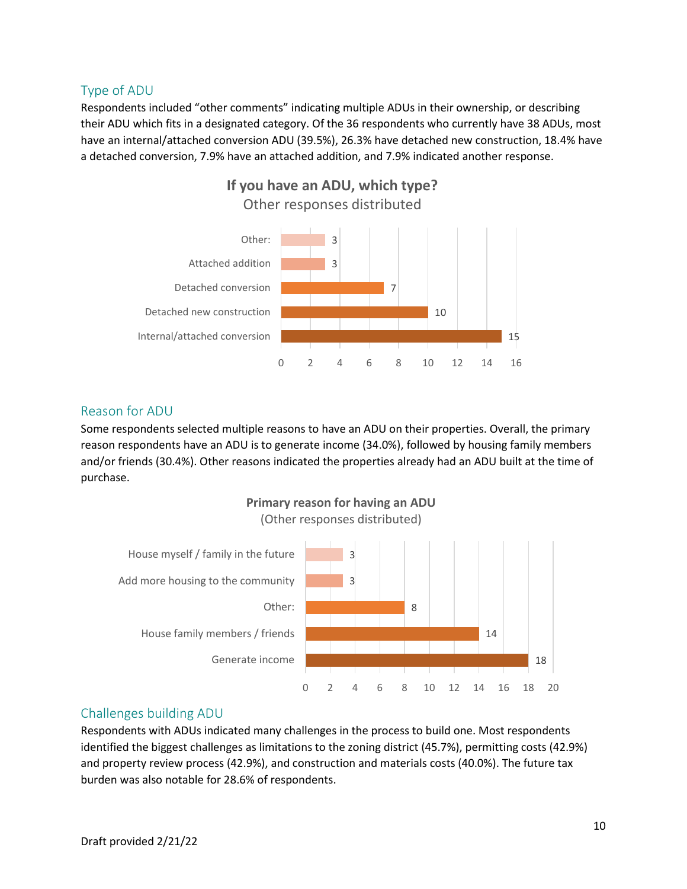## Type of ADU

Respondents included "other comments" indicating multiple ADUs in their ownership, or describing their ADU which fits in a designated category. Of the 36 respondents who currently have 38 ADUs, most have an internal/attached conversion ADU (39.5%), 26.3% have detached new construction, 18.4% have a detached conversion, 7.9% have an attached addition, and 7.9% indicated another response.



## Reason for ADU

Some respondents selected multiple reasons to have an ADU on their properties. Overall, the primary reason respondents have an ADU is to generate income (34.0%), followed by housing family members and/or friends (30.4%). Other reasons indicated the properties already had an ADU built at the time of purchase.



## Challenges building ADU

Respondents with ADUs indicated many challenges in the process to build one. Most respondents identified the biggest challenges as limitations to the zoning district (45.7%), permitting costs (42.9%) and property review process (42.9%), and construction and materials costs (40.0%). The future tax burden was also notable for 28.6% of respondents.